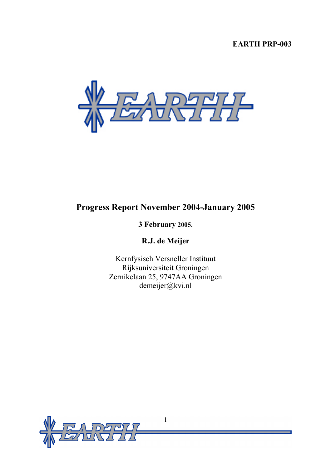# **EARTH PRP-003**



# **Progress Report November 2004-January 2005**

# **3 February 2005.**

**R.J. de Meijer** 

Kernfysisch Versneller Instituut Rijksuniversiteit Groningen Zernikelaan 25, 9747AA Groningen demeijer@kvi.nl

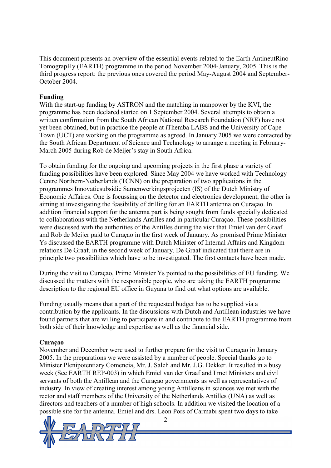This document presents an overview of the essential events related to the Earth AntineutRino TomograpHy (EARTH) programme in the period November 2004-January, 2005. This is the third progress report: the previous ones covered the period May-August 2004 and September-October 2004.

# **Funding**

With the start-up funding by ASTRON and the matching in manpower by the KVI, the programme has been declared started on 1 September 2004. Several attempts to obtain a written confirmation from the South African National Research Foundation (NRF) have not yet been obtained, but in practice the people at iThemba LABS and the University of Cape Town (UCT) are working on the programme as agreed. In January 2005 we were contacted by the South African Department of Science and Technology to arrange a meeting in February-March 2005 during Rob de Meijer's stay in South Africa.

To obtain funding for the ongoing and upcoming projects in the first phase a variety of funding possibilities have been explored. Since May 2004 we have worked with Technology Centre Northern-Netherlands (TCNN) on the preparation of two applications in the programmes Innovatiesubsidie Samenwerkingsprojecten (IS) of the Dutch Ministry of Economic Affaires. One is focussing on the detector and electronics development, the other is aiming at investigating the feasibility of drilling for an EARTH antenna on Curaçao. In addition financial support for the antenna part is being sought from funds specially dedicated to collaborations with the Netherlands Antilles and in particular Curaçao. These possibilities were discussed with the authorities of the Antilles during the visit that Emiel van der Graaf and Rob de Meijer paid to Curaçao in the first week of January. As promised Prime Minister Ys discussed the EARTH programme with Dutch Minister of Internal Affairs and Kingdom relations De Graaf, in the second week of January. De Graaf indicated that there are in principle two possibilities which have to be investigated. The first contacts have been made.

During the visit to Curaçao, Prime Minister Ys pointed to the possibilities of EU funding. We discussed the matters with the responsible people, who are taking the EARTH programme description to the regional EU office in Guyana to find out what options are available.

Funding usually means that a part of the requested budget has to be supplied via a contribution by the applicants. In the discussions with Dutch and Antillean industries we have found partners that are willing to participate in and contribute to the EARTH programme from both side of their knowledge and expertise as well as the financial side.

### **Curaçao**

November and December were used to further prepare for the visit to Curaçao in January 2005. In the preparations we were assisted by a number of people. Special thanks go to Minister Plenipotentiary Comencia, Mr. J. Saleh and Mr. J.G. Dekker. It resulted in a busy week (See EARTH REP-003) in which Emiel van der Graaf and I met Ministers and civil servants of both the Antillean and the Curaçao governments as well as representatives of industry. In view of creating interest among young Antilleans in sciences we met with the rector and staff members of the University of the Netherlands Antilles (UNA) as well as directors and teachers of a number of high schools. In addition we visited the location of a possible site for the antenna. Emiel and drs. Leon Pors of Carmabi spent two days to take

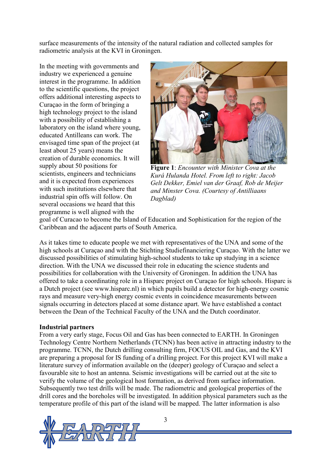surface measurements of the intensity of the natural radiation and collected samples for radiometric analysis at the KVI in Groningen.

In the meeting with governments and industry we experienced a genuine interest in the programme. In addition to the scientific questions, the project offers additional interesting aspects to Curaçao in the form of bringing a high technology project to the island with a possibility of establishing a laboratory on the island where young, educated Antilleans can work. The envisaged time span of the project (at least about 25 years) means the creation of durable economics. It will supply about 50 positions for scientists, engineers and technicians and it is expected from experiences with such institutions elsewhere that industrial spin offs will follow. On several occasions we heard that this programme is well aligned with the



**Figure 1**: *Encounter with Minister Cova at the Kurá Hulanda Hotel. From left to right: Jacob Gelt Dekker, Emiel van der Graaf, Rob de Meijer and Minster Cova. (Courtesy of Antilliaans Dagblad)* 

goal of Curacao to become the Island of Education and Sophistication for the region of the Caribbean and the adjacent parts of South America.

As it takes time to educate people we met with representatives of the UNA and some of the high schools at Curaçao and with the Stichting Studiefinanciering Curaçao. With the latter we discussed possibilities of stimulating high-school students to take up studying in a science direction. With the UNA we discussed their role in educating the science students and possibilities for collaboration with the University of Groningen. In addition the UNA has offered to take a coordinating role in a Hisparc project on Curaçao for high schools. Hisparc is a Dutch project (see www.hisparc.nl) in which pupils build a detector for high-energy cosmic rays and measure very-high energy cosmic events in coincidence measurements between signals occurring in detectors placed at some distance apart. We have established a contact between the Dean of the Technical Faculty of the UNA and the Dutch coordinator.

#### **Industrial partners**

From a very early stage, Focus Oil and Gas has been connected to EARTH. In Groningen Technology Centre Northern Netherlands (TCNN) has been active in attracting industry to the programme. TCNN, the Dutch drilling consulting firm, FOCUS OIL and Gas, and the KVI are preparing a proposal for IS funding of a drilling project. For this project KVI will make a literature survey of information available on the (deeper) geology of Curaçao and select a favourable site to host an antenna. Seismic investigations will be carried out at the site to verify the volume of the geological host formation, as derived from surface information. Subsequently two test drills will be made. The radiometric and geological properties of the drill cores and the boreholes will be investigated. In addition physical parameters such as the temperature profile of this part of the island will be mapped. The latter information is also



3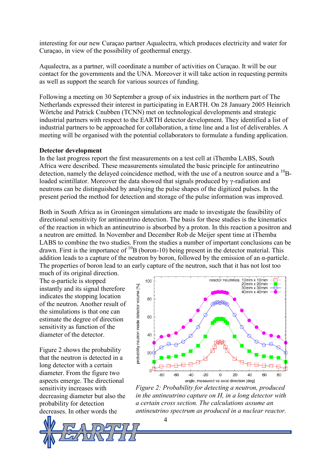interesting for our new Curaçao partner Aqualectra, which produces electricity and water for Curaçao, in view of the possibility of geothermal energy.

Aqualectra, as a partner, will coordinate a number of activities on Curaçao. It will be our contact for the governments and the UNA. Moreover it will take action in requesting permits as well as support the search for various sources of funding.

Following a meeting on 30 September a group of six industries in the northern part of The Netherlands expressed their interest in participating in EARTH. On 28 January 2005 Heinrich Wörtche and Patrick Cnubben (TCNN) met on technological developments and strategic industrial partners with respect to the EARTH detector development. They identified a list of industrial partners to be approached for collaboration, a time line and a list of deliverables. A meeting will be organised with the potential collaborators to formulate a funding application.

#### **Detector development**

In the last progress report the first measurements on a test cell at iThemba LABS, South Africa were described. These measurements simulated the basic principle for antineutrino detection, namely the delayed coincidence method, with the use of a neutron source and a <sup>10</sup>Bloaded scintillator. Moreover the data showed that signals produced by γ-radiation and neutrons can be distinguished by analysing the pulse shapes of the digitized pulses. In the present period the method for detection and storage of the pulse information was improved.

Both in South Africa as in Groningen simulations are made to investigate the feasibility of directional sensitivity for antineutrino detection. The basis for these studies is the kinematics of the reaction in which an antineutrino is absorbed by a proton. In this reaction a positron and a neutron are emitted. In November and December Rob de Meijer spent time at iThemba LABS to combine the two studies. From the studies a number of important conclusions can be drawn. First is the importance of  $^{10}$ B (boron-10) being present in the detector material. This addition leads to a capture of the neutron by boron, followed by the emission of an α-particle. The properties of boron lead to an early capture of the neutron, such that it has not lost too

much of its original direction. The  $\alpha$ -particle is stopped instantly and its signal therefore indicates the stopping location of the neutron. Another result of the simulations is that one can estimate the degree of direction sensitivity as function of the diameter of the detector.

Figure 2 shows the probability that the neutron is detected in a long detector with a certain diameter. From the figure two aspects emerge. The directional sensitivity increases with decreasing diameter but also the probability for detection decreases. In other words the





*Figure 2: Probability for detecting a neutron, produced in the antineutrino capture on H, in a long detector with a certain cross section. The calculations assume an antineutrino spectrum as produced in a nuclear reactor.*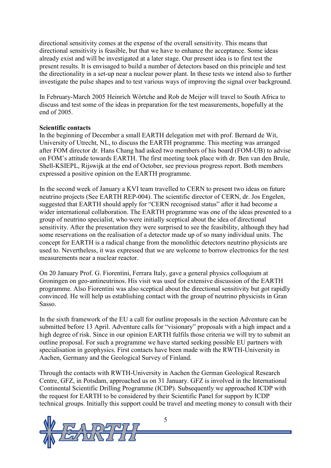directional sensitivity comes at the expense of the overall sensitivity. This means that directional sensitivity is feasible, but that we have to enhance the acceptance. Some ideas already exist and will be investigated at a later stage. Our present idea is to first test the present results. It is envisaged to build a number of detectors based on this principle and test the directionality in a set-up near a nuclear power plant. In these tests we intend also to further investigate the pulse shapes and to test various ways of improving the signal over background.

In February-March 2005 Heinrich Wörtche and Rob de Meijer will travel to South Africa to discuss and test some of the ideas in preparation for the test measurements, hopefully at the end of 2005.

#### **Scientific contacts**

In the beginning of December a small EARTH delegation met with prof. Bernard de Wit, University of Utrecht, NL, to discuss the EARTH programme. This meeting was arranged after FOM director dr. Hans Chang had asked two members of his board (FOM-UB) to advise on FOM's attitude towards EARTH. The first meeting took place with dr. Ben van den Brule, Shell-KSIEPL, Rijswijk at the end of October, see previous progress report. Both members expressed a positive opinion on the EARTH programme.

In the second week of January a KVI team travelled to CERN to present two ideas on future neutrino projects (See EARTH REP-004). The scientific director of CERN, dr. Jos Engelen, suggested that EARTH should apply for "CERN recognised status" after it had become a wider international collaboration. The EARTH programme was one of the ideas presented to a group of neutrino specialist, who were initially sceptical about the idea of directional sensitivity. After the presentation they were surprised to see the feasibility, although they had some reservations on the realisation of a detector made up of so many individual units. The concept for EARTH is a radical change from the monolithic detectors neutrino physicists are used to. Nevertheless, it was expressed that we are welcome to borrow electronics for the test measurements near a nuclear reactor.

On 20 January Prof. G. Fiorentini, Ferrara Italy, gave a general physics colloquium at Groningen on geo-antineutrinos. His visit was used for extensive discussion of the EARTH programme. Also Fiorentini was also sceptical about the directional sensitivity but got rapidly convinced. He will help us establishing contact with the group of neutrino physicists in Gran Sasso.

In the sixth framework of the EU a call for outline proposals in the section Adventure can be submitted before 13 April. Adventure calls for "visionary" proposals with a high impact and a high degree of risk. Since in our opinion EARTH fulfils those criteria we will try to submit an outline proposal. For such a programme we have started seeking possible EU partners with specialisation in geophysics. First contacts have been made with the RWTH-University in Aachen, Germany and the Geological Survey of Finland.

Through the contacts with RWTH-University in Aachen the German Geological Research Centre, GFZ, in Potsdam, approached us on 31 January. GFZ is involved in the International Continental Scientific Drilling Programme (ICDP). Subsequently we approached ICDP with the request for EARTH to be considered by their Scientific Panel for support by ICDP technical groups. Initially this support could be travel and meeting money to consult with their

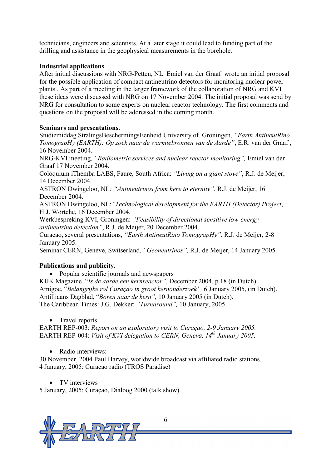technicians, engineers and scientists. At a later stage it could lead to funding part of the drilling and assistance in the geophysical measurements in the borehole.

# **Industrial applications**

After initial discussions with NRG-Petten, NL Emiel van der Graaf wrote an initial proposal for the possible application of compact antineutrino detectors for monitoring nuclear power plants . As part of a meeting in the larger framework of the collaboration of NRG and KVI these ideas were discussed with NRG on 17 November 2004. The initial proposal was send by NRG for consultation to some experts on nuclear reactor technology. The first comments and questions on the proposal will be addressed in the coming month.

# **Seminars and presentations.**

Studiemiddag StralingsBeschermingsEenheid University of Groningen, *"Earth AntineutRino TomograpHy (EARTH): Op zoek naar de warmtebronnen van de Aarde"*, E.R. van der Graaf , 16 November 2004.

NRG-KVI meeting, *"Radiometric services and nuclear reactor monitoring",* Emiel van der Graaf 17 November 2004.

Coloquium iThemba LABS, Faure, South Africa: *"Living on a giant stove"*, R.J. de Meijer, 14 December 2004.

ASTRON Dwingeloo, NL*: "Antineutrinos from here to eternity"*, R.J. de Meijer, 16 December 2004.

ASTRON Dwingeloo, NL:*"Technological development for the EARTH (Detector) Project*, H.J. Wörtche, 16 December 2004.

Werkbespreking KVI, Groningen: *"Feasibility of directional sensitive low-energy antineutrino detection"*, R.J. de Meijer, 20 December 2004.

Curaçao, several presentations, *"Earth AntineutRino TomograpHy",* R.J. de Meijer, 2-8 January 2005.

Seminar CERN, Geneve, Switserland, *"Geoneutrinos",* R.J. de Meijer, 14 January 2005.

# **Publications and publicity***.*

• Popular scientific journals and newspapers

KIJK Magazine, "*Is de aarde een kernreactor"*, December 2004, p 18 (in Dutch). Amigoe, "*Belangrijke rol Curaçao in groot kernonderzoek",* 6 January 2005, (in Dutch). Antilliaans Dagblad, "*Boren naar de kern",* 10 January 2005 (in Dutch). The Caribbean Times: J.G. Dekker: *"Turnaround",* 10 January, 2005.

• Travel reports

EARTH REP-003: *Report on an exploratory visit to Curaçao, 2-9 January 2005.*  EARTH REP-004: *Visit of KVI delegation to CERN, Geneva, 14<sup>th</sup> January 2005.* 

• Radio interviews:

30 November, 2004 Paul Harvey, worldwide broadcast via affiliated radio stations. 4 January, 2005: Curaçao radio (TROS Paradise)

• TV interviews

5 January, 2005: Curaçao, Dialoog 2000 (talk show).